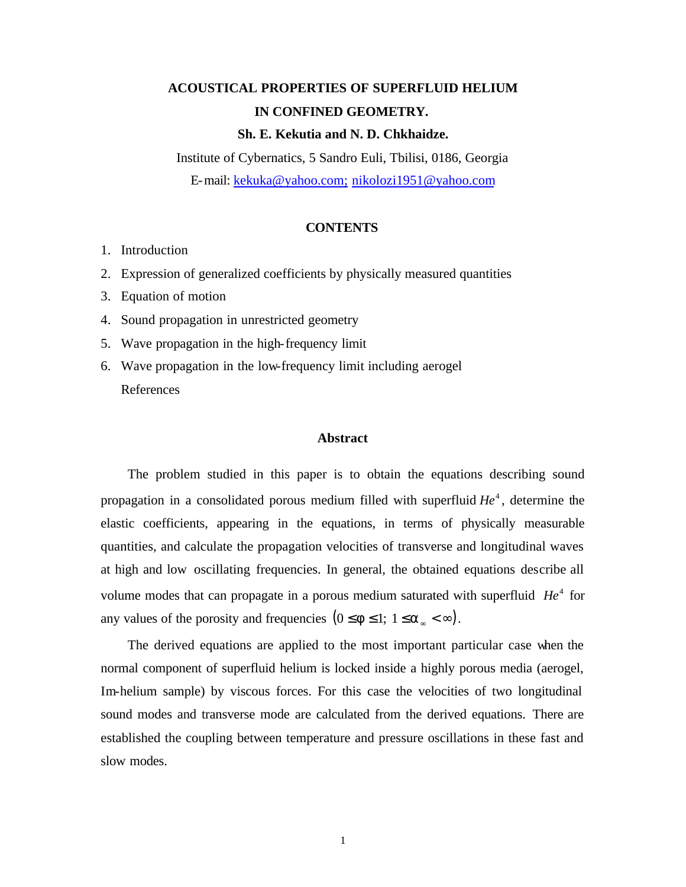# **ACOUSTICAL PROPERTIES OF SUPERFLUID HELIUM IN CONFINED GEOMETRY.**

#### **Sh. E. Kekutia and N. D. Chkhaidze.**

Institute of Cybernatics, 5 Sandro Euli, Tbilisi, 0186, Georgia E-mail: kekuka@yahoo.com; nikolozi1951@yahoo.com

#### **CONTENTS**

- 1. Introduction
- 2. Expression of generalized coefficients by physically measured quantities
- 3. Equation of motion
- 4. Sound propagation in unrestricted geometry
- 5. Wave propagation in the high-frequency limit
- 6. Wave propagation in the low-frequency limit including aerogel References

#### **Abstract**

The problem studied in this paper is to obtain the equations describing sound propagation in a consolidated porous medium filled with superfluid  $He<sup>4</sup>$ , determine the elastic coefficients, appearing in the equations, in terms of physically measurable quantities, and calculate the propagation velocities of transverse and longitudinal waves at high and low oscillating frequencies. In general, the obtained equations describe all volume modes that can propagate in a porous medium saturated with superfluid  $He<sup>4</sup>$  for any values of the porosity and frequencies  $(0 \le f \le 1; 1 \le a_{\infty} < \infty)$ .

The derived equations are applied to the most important particular case when the normal component of superfluid helium is locked inside a highly porous media (aerogel, Im-helium sample) by viscous forces. For this case the velocities of two longitudinal sound modes and transverse mode are calculated from the derived equations. There are established the coupling between temperature and pressure oscillations in these fast and slow modes.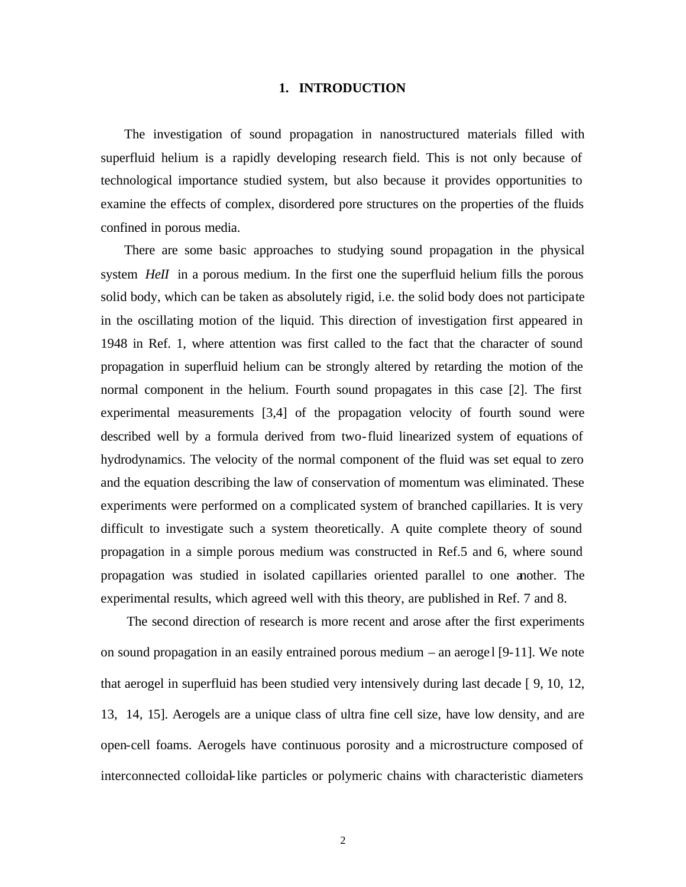#### **1. INTRODUCTION**

The investigation of sound propagation in nanostructured materials filled with superfluid helium is a rapidly developing research field. This is not only because of technological importance studied system, but also because it provides opportunities to examine the effects of complex, disordered pore structures on the properties of the fluids confined in porous media.

There are some basic approaches to studying sound propagation in the physical system *HeII* in a porous medium. In the first one the superfluid helium fills the porous solid body, which can be taken as absolutely rigid, i.e. the solid body does not participate in the oscillating motion of the liquid. This direction of investigation first appeared in 1948 in Ref. 1, where attention was first called to the fact that the character of sound propagation in superfluid helium can be strongly altered by retarding the motion of the normal component in the helium. Fourth sound propagates in this case [2]. The first experimental measurements [3,4] of the propagation velocity of fourth sound were described well by a formula derived from two-fluid linearized system of equations of hydrodynamics. The velocity of the normal component of the fluid was set equal to zero and the equation describing the law of conservation of momentum was eliminated. These experiments were performed on a complicated system of branched capillaries. It is very difficult to investigate such a system theoretically. A quite complete theory of sound propagation in a simple porous medium was constructed in Ref.5 and 6, where sound propagation was studied in isolated capillaries oriented parallel to one another. The experimental results, which agreed well with this theory, are published in Ref. 7 and 8.

The second direction of research is more recent and arose after the first experiments on sound propagation in an easily entrained porous medium  $-$  an aeroge l [9-11]. We note that aerogel in superfluid has been studied very intensively during last decade [ 9, 10, 12, 13, 14, 15]. Aerogels are a unique class of ultra fine cell size, have low density, and are open-cell foams. Aerogels have continuous porosity and a microstructure composed of interconnected colloidal-like particles or polymeric chains with characteristic diameters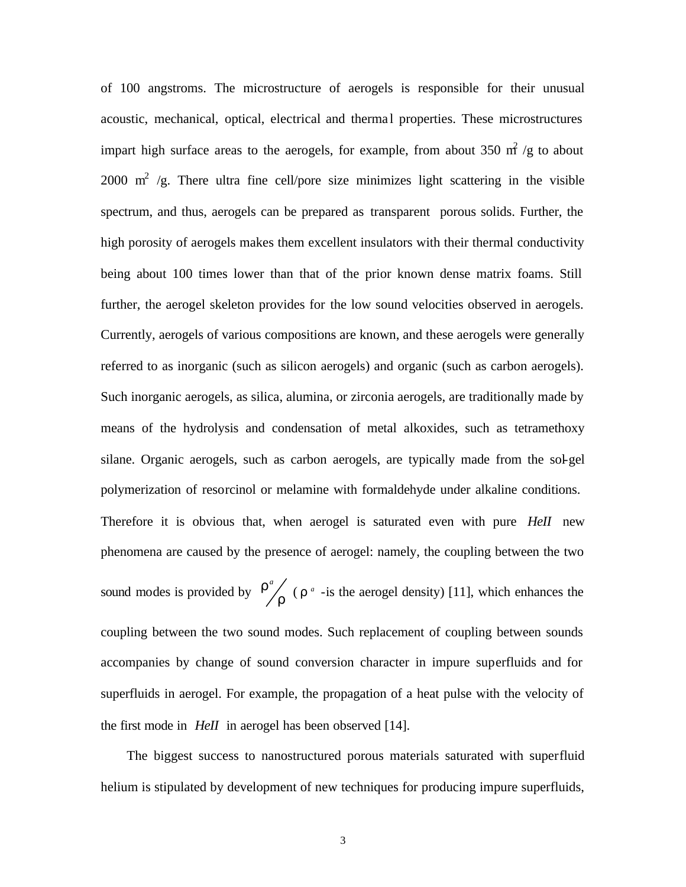of 100 angstroms. The microstructure of aerogels is responsible for their unusual acoustic, mechanical, optical, electrical and thermal properties. These microstructures impart high surface areas to the aerogels, for example, from about 350  $m^2/g$  to about 2000  $\text{m}^2$  /g. There ultra fine cell/pore size minimizes light scattering in the visible spectrum, and thus, aerogels can be prepared as transparent porous solids. Further, the high porosity of aerogels makes them excellent insulators with their thermal conductivity being about 100 times lower than that of the prior known dense matrix foams. Still further, the aerogel skeleton provides for the low sound velocities observed in aerogels. Currently, aerogels of various compositions are known, and these aerogels were generally referred to as inorganic (such as silicon aerogels) and organic (such as carbon aerogels). Such inorganic aerogels, as silica, alumina, or zirconia aerogels, are traditionally made by means of the hydrolysis and condensation of metal alkoxides, such as tetramethoxy silane. Organic aerogels, such as carbon aerogels, are typically made from the sol-gel polymerization of resorcinol or melamine with formaldehyde under alkaline conditions. Therefore it is obvious that, when aerogel is saturated even with pure *HeII* new phenomena are caused by the presence of aerogel: namely, the coupling between the two sound modes is provided by  $\frac{r}{r}$  $r^a$ <sub>n</sub> ( $r^a$ -is the aerogel density) [11], which enhances the coupling between the two sound modes. Such replacement of coupling between sounds accompanies by change of sound conversion character in impure superfluids and for superfluids in aerogel. For example, the propagation of a heat pulse with the velocity of the first mode in *HeII* in aerogel has been observed [14].

The biggest success to nanostructured porous materials saturated with superfluid helium is stipulated by development of new techniques for producing impure superfluids,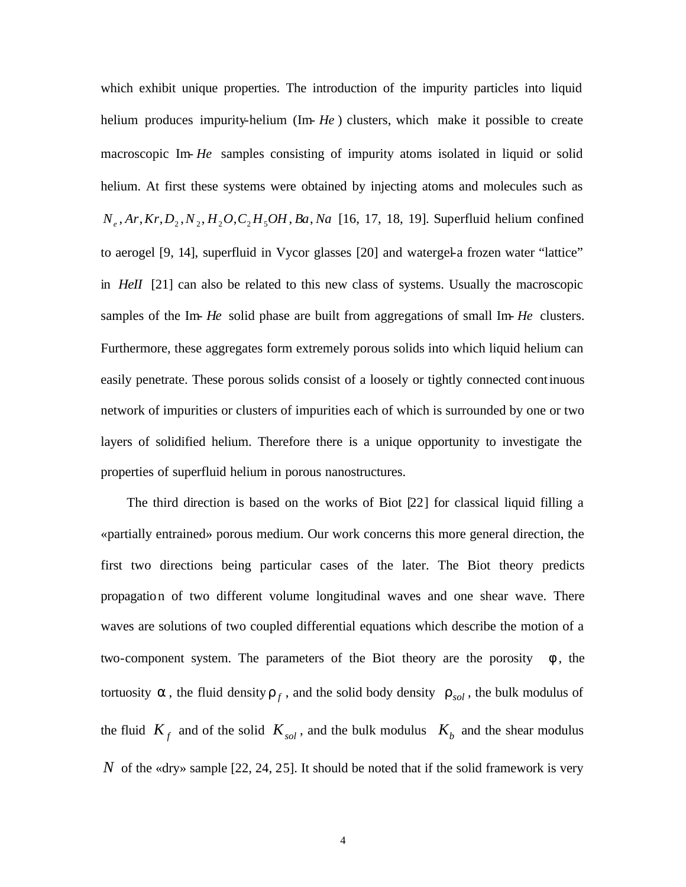which exhibit unique properties. The introduction of the impurity particles into liquid helium produces impurity-helium (Im- *He*) clusters, which make it possible to create macroscopic Im- *He* samples consisting of impurity atoms isolated in liquid or solid helium. At first these systems were obtained by injecting atoms and molecules such as *Ne* , *Ar*,*Kr*,*D*<sup>2</sup> ,*N*<sup>2</sup> , *H*2*O*,*C*<sup>2</sup> *H*5*OH* , *Ba*, *Na* [16, 17, 18, 19]. Superfluid helium confined to aerogel [9, 14], superfluid in Vycor glasses [20] and watergel-a frozen water "lattice" in *HeII* [21] can also be related to this new class of systems. Usually the macroscopic samples of the Im- *He* solid phase are built from aggregations of small Im- *He* clusters. Furthermore, these aggregates form extremely porous solids into which liquid helium can easily penetrate. These porous solids consist of a loosely or tightly connected continuous network of impurities or clusters of impurities each of which is surrounded by one or two layers of solidified helium. Therefore there is a unique opportunity to investigate the properties of superfluid helium in porous nanostructures.

The third direction is based on the works of Biot [22] for classical liquid filling a «partially entrained» porous medium. Our work concerns this more general direction, the first two directions being particular cases of the later. The Biot theory predicts propagation of two different volume longitudinal waves and one shear wave. There waves are solutions of two coupled differential equations which describe the motion of a two-component system. The parameters of the Biot theory are the porosity  $f$ , the tortuosity  $\boldsymbol{a}$ , the fluid density  $\boldsymbol{r}_f$ , and the solid body density  $\boldsymbol{r}_{sol}$ , the bulk modulus of the fluid  $K_f$  and of the solid  $K_{sol}$ , and the bulk modulus  $K_b$  and the shear modulus *N* of the «dry» sample [22, 24, 25]. It should be noted that if the solid framework is very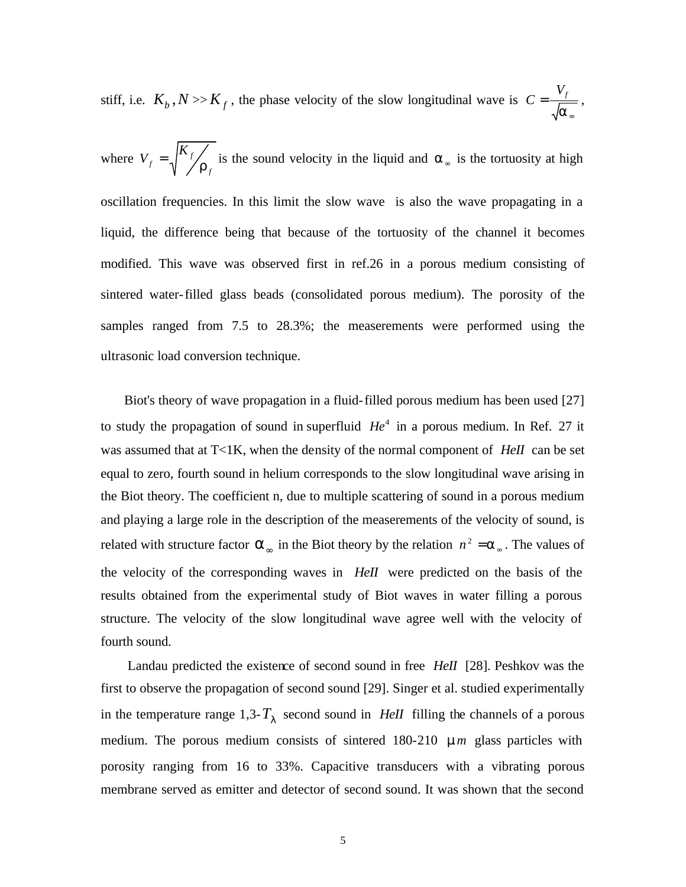stiff, i.e.  $K_b$ ,  $N \gg K_f$ , the phase velocity of the slow longitudinal wave is ∞ = *a*  $C = \frac{V_f}{\sqrt{2\pi}}$ ,

where *f*  $f = \sqrt{\frac{\mu}{f}}$  $V_f = \sqrt{\frac{K_f}{r_f}}$  is the sound velocity in the liquid and  $a_{\infty}$  is the tortuosity at high oscillation frequencies. In this limit the slow wave is also the wave propagating in a liquid, the difference being that because of the tortuosity of the channel it becomes modified. This wave was observed first in ref.26 in a porous medium consisting of sintered water-filled glass beads (consolidated porous medium). The porosity of the samples ranged from 7.5 to 28.3%; the measerements were performed using the ultrasonic load conversion technique.

Biot's theory of wave propagation in a fluid-filled porous medium has been used [27] to study the propagation of sound in superfluid  $He<sup>4</sup>$  in a porous medium. In Ref. 27 it was assumed that at T<1K, when the density of the normal component of *HeII* can be set equal to zero, fourth sound in helium corresponds to the slow longitudinal wave arising in the Biot theory. The coefficient n, due to multiple scattering of sound in a porous medium and playing a large role in the description of the measerements of the velocity of sound, is related with structure factor  $\mathbf{a}_{\infty}$  in the Biot theory by the relation  $n^2 = \mathbf{a}_{\infty}$ . The values of the velocity of the corresponding waves in *HeII* were predicted on the basis of the results obtained from the experimental study of Biot waves in water filling a porous structure. The velocity of the slow longitudinal wave agree well with the velocity of fourth sound.

Landau predicted the existence of second sound in free *HeII* [28]. Peshkov was the first to observe the propagation of second sound [29]. Singer et al. studied experimentally in the temperature range  $1,3$ - $T<sub>I</sub>$  second sound in *HeII* filling the channels of a porous medium. The porous medium consists of sintered 180-210  $\bm{m}$  glass particles with porosity ranging from 16 to 33%. Capacitive transducers with a vibrating porous membrane served as emitter and detector of second sound. It was shown that the second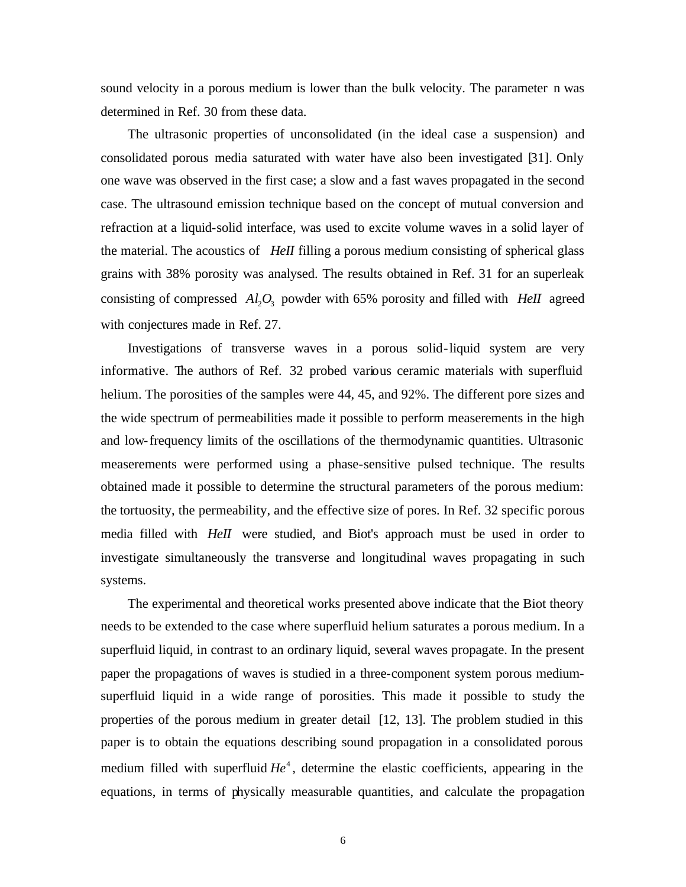sound velocity in a porous medium is lower than the bulk velocity. The parameter n was determined in Ref. 30 from these data.

The ultrasonic properties of unconsolidated (in the ideal case a suspension) and consolidated porous media saturated with water have also been investigated [31]. Only one wave was observed in the first case; a slow and a fast waves propagated in the second case. The ultrasound emission technique based on the concept of mutual conversion and refraction at a liquid-solid interface, was used to excite volume waves in a solid layer of the material. The acoustics of *HeII* filling a porous medium consisting of spherical glass grains with 38% porosity was analysed. The results obtained in Ref. 31 for an superleak consisting of compressed  $Al_2O_3$  powder with 65% porosity and filled with *HeII* agreed with conjectures made in Ref. 27.

Investigations of transverse waves in a porous solid-liquid system are very informative. The authors of Ref. 32 probed various ceramic materials with superfluid helium. The porosities of the samples were 44, 45, and 92%. The different pore sizes and the wide spectrum of permeabilities made it possible to perform measerements in the high and low-frequency limits of the oscillations of the thermodynamic quantities. Ultrasonic measerements were performed using a phase-sensitive pulsed technique. The results obtained made it possible to determine the structural parameters of the porous medium: the tortuosity, the permeability, and the effective size of pores. In Ref. 32 specific porous media filled with *HeII* were studied, and Biot's approach must be used in order to investigate simultaneously the transverse and longitudinal waves propagating in such systems.

The experimental and theoretical works presented above indicate that the Biot theory needs to be extended to the case where superfluid helium saturates a porous medium. In a superfluid liquid, in contrast to an ordinary liquid, several waves propagate. In the present paper the propagations of waves is studied in a three-component system porous mediumsuperfluid liquid in a wide range of porosities. This made it possible to study the properties of the porous medium in greater detail [12, 13]. The problem studied in this paper is to obtain the equations describing sound propagation in a consolidated porous medium filled with superfluid  $He<sup>4</sup>$ , determine the elastic coefficients, appearing in the equations, in terms of physically measurable quantities, and calculate the propagation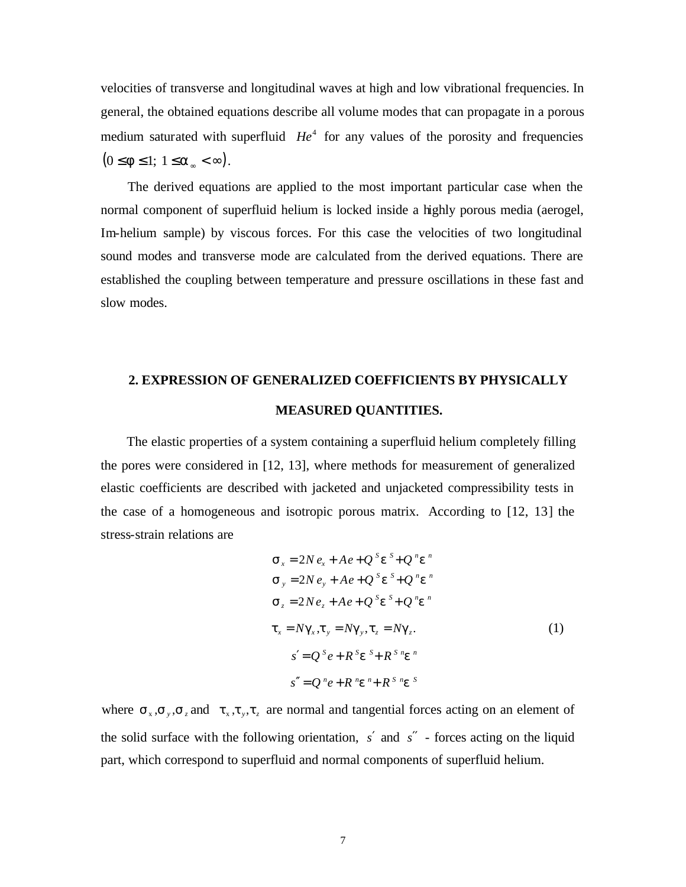velocities of transverse and longitudinal waves at high and low vibrational frequencies. In general, the obtained equations describe all volume modes that can propagate in a porous medium saturated with superfluid  $He<sup>4</sup>$  for any values of the porosity and frequencies  $(0 \leq f \leq 1; 1 \leq a_{\infty} < \infty).$ 

The derived equations are applied to the most important particular case when the normal component of superfluid helium is locked inside a highly porous media (aerogel, Im-helium sample) by viscous forces. For this case the velocities of two longitudinal sound modes and transverse mode are calculated from the derived equations. There are established the coupling between temperature and pressure oscillations in these fast and slow modes.

## **2. EXPRESSION OF GENERALIZED COEFFICIENTS BY PHYSICALLY MEASURED QUANTITIES.**

The elastic properties of a system containing a superfluid helium completely filling the pores were considered in [12, 13], where methods for measurement of generalized elastic coefficients are described with jacketed and unjacketed compressibility tests in the case of a homogeneous and isotropic porous matrix. According to [12, 13] the stress-strain relations are

$$
S_x = 2N e_x + Ae + Q^S e^S + Q^n e^n
$$
  
\n
$$
S_y = 2N e_y + Ae + Q^S e^S + Q^n e^n
$$
  
\n
$$
S_z = 2Ne_z + Ae + Q^S e^S + Q^n e^n
$$
  
\n
$$
t_x = Ng_x, t_y = Ng_y, t_z = Ng_z.
$$
  
\n
$$
s' = Q^S e + R^S e^S + R^S e^n
$$
  
\n
$$
s'' = Q^n e + R^n e^n + R^S n e^S
$$

where  $s_x$ ,  $s_y$ ,  $s_z$  and  $t_x$ ,  $t_y$ ,  $t_z$  are normal and tangential forces acting on an element of the solid surface with the following orientation, *s*′ and *s*′′ - forces acting on the liquid part, which correspond to superfluid and normal components of superfluid helium.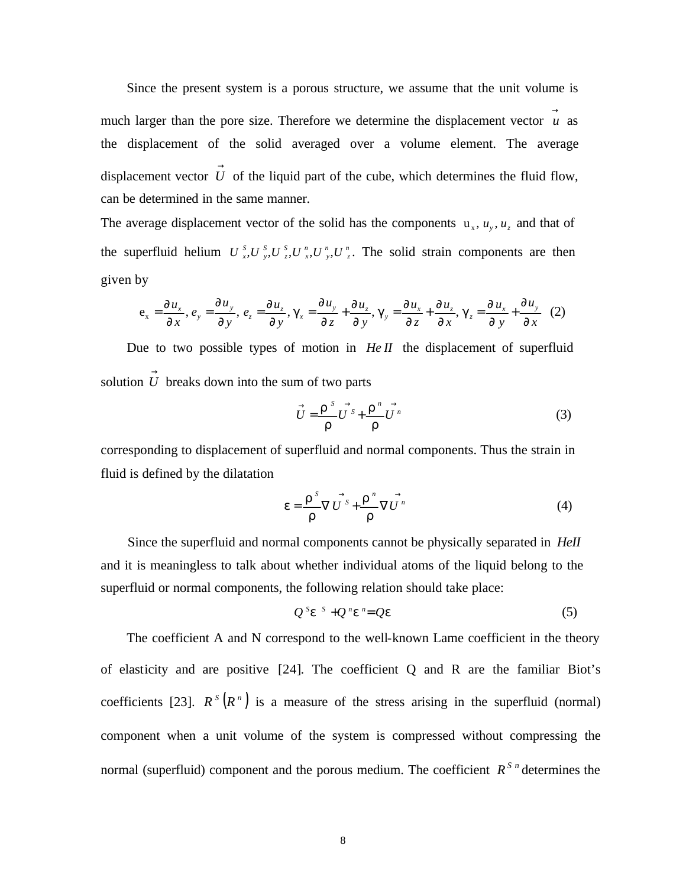Since the present system is a porous structure, we assume that the unit volume is much larger than the pore size. Therefore we determine the displacement vector  $\vec{u}$  as the displacement of the solid averaged over a volume element. The average displacement vector  $\overrightarrow{U}$  of the liquid part of the cube, which determines the fluid flow, can be determined in the same manner.

The average displacement vector of the solid has the components  $u_x$ ,  $u_y$ ,  $u_z$  and that of the superfluid helium  $U_{x}^{s}, U_{y}^{s}, U_{z}^{r}, U_{y}^{n}, U_{z}^{n}$ . The solid strain components are then given by

$$
\mathbf{e}_{x} = \frac{\partial u_{x}}{\partial x}, \, e_{y} = \frac{\partial u_{y}}{\partial y}, \, e_{z} = \frac{\partial u_{z}}{\partial y}, \, \mathbf{g}_{x} = \frac{\partial u_{y}}{\partial z} + \frac{\partial u_{z}}{\partial y}, \, \mathbf{g}_{y} = \frac{\partial u_{x}}{\partial z} + \frac{\partial u_{z}}{\partial x}, \, \mathbf{g}_{z} = \frac{\partial u_{x}}{\partial y} + \frac{\partial u_{y}}{\partial x} \tag{2}
$$

Due to two possible types of motion in *He II* the displacement of superfluid solution  $\overrightarrow{U}$  breaks down into the sum of two parts

$$
\vec{U} = \frac{\vec{r}^s}{r} \vec{U}^s + \frac{\vec{r}^n}{r} \vec{U}^n
$$
 (3)

corresponding to displacement of superfluid and normal components. Thus the strain in fluid is defined by the dilatation

$$
e = \frac{\mathbf{r}^{S}}{\mathbf{r}} \nabla \overrightarrow{U^{S}} + \frac{\mathbf{r}^{n}}{\mathbf{r}} \nabla \overrightarrow{U^{n}}
$$
(4)

Since the superfluid and normal components cannot be physically separated in *HeII* and it is meaningless to talk about whether individual atoms of the liquid belong to the superfluid or normal components, the following relation should take place:

$$
Q^s e^{-s} + Q^s e^s = Qe \tag{5}
$$

The coefficient A and N correspond to the well-known Lame coefficient in the theory of elasticity and are positive [24]. The coefficient Q and R are the familiar Biot's coefficients [23].  $R^s(R^n)$  is a measure of the stress arising in the superfluid (normal) component when a unit volume of the system is compressed without compressing the normal (superfluid) component and the porous medium. The coefficient  $R^{S_n}$  determines the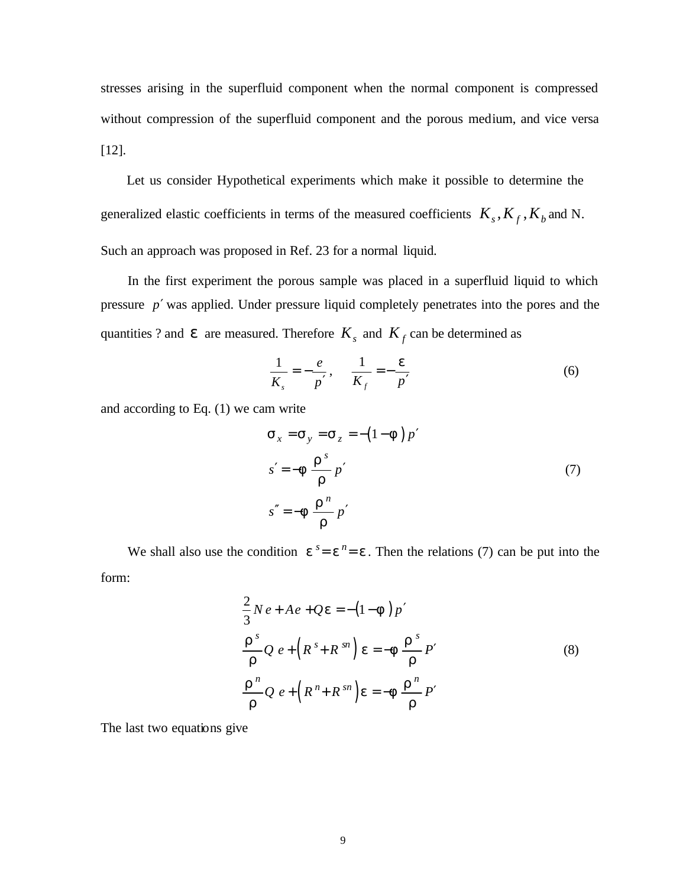stresses arising in the superfluid component when the normal component is compressed without compression of the superfluid component and the porous medium, and vice versa [12].

Let us consider Hypothetical experiments which make it possible to determine the generalized elastic coefficients in terms of the measured coefficients  $K_s$ ,  $K_f$ ,  $K_b$  and N. Such an approach was proposed in Ref. 23 for a normal liquid.

In the first experiment the porous sample was placed in a superfluid liquid to which pressure *p*′ was applied. Under pressure liquid completely penetrates into the pores and the quantities ? and  $e$  are measured. Therefore  $K_s$  and  $K_f$  can be determined as

$$
\frac{1}{K_s} = -\frac{e}{p'}, \qquad \frac{1}{K_f} = -\frac{e}{p'}
$$
 (6)

and according to Eq. (1) we cam write

$$
S_x = S_y = S_z = -(1 - f)p'
$$
  
\n
$$
s' = -f \frac{r^s}{r} p'
$$
  
\n
$$
s'' = -f \frac{r^n}{r} p'
$$
\n(7)

We shall also use the condition  $e^{s} = e^{n} = e$ . Then the relations (7) can be put into the form:

$$
\frac{2}{3}Ne + Ae + Qe = -(1 - f)p'
$$
\n
$$
\frac{r^{s}}{r}Q e + (R^{s} + R^{sn}) e = -f \frac{r^{s}}{r}P'
$$
\n
$$
\frac{r^{n}}{r}Q e + (R^{n} + R^{sn}) e = -f \frac{r^{n}}{r}P'
$$
\n(8)

The last two equations give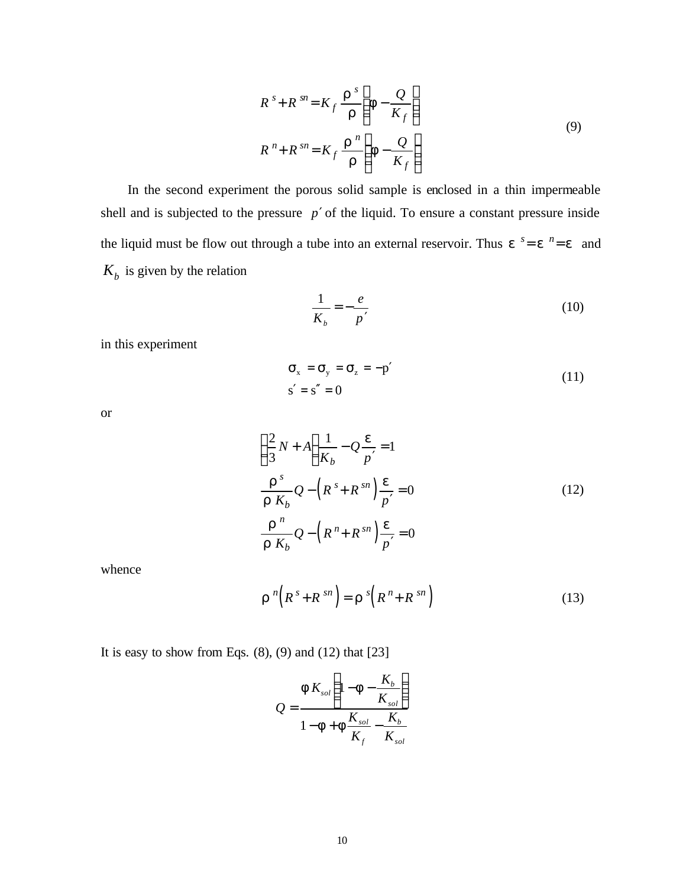$$
R^{s} + R^{sn} = K_f \frac{\mathbf{r}^{s}}{\mathbf{r}} \left( \mathbf{f} - \frac{Q}{K_f} \right)
$$
  

$$
R^{n} + R^{sn} = K_f \frac{\mathbf{r}^{n}}{\mathbf{r}} \left( \mathbf{f} - \frac{Q}{K_f} \right)
$$
 (9)

In the second experiment the porous solid sample is enclosed in a thin impermeable shell and is subjected to the pressure *p*′ of the liquid. To ensure a constant pressure inside the liquid must be flow out through a tube into an external reservoir. Thus  $e^{s} = e^{n} = e$  and  $K_b$  is given by the relation

$$
\frac{1}{K_b} = -\frac{e}{p'},\tag{10}
$$

in this experiment

$$
\sigma_x = \sigma_y = \sigma_z = -p'
$$
  
\n
$$
s' = s'' = 0
$$
\n(11)

or

$$
\left(\frac{2}{3}N+A\right)\frac{1}{K_b}-Q\frac{e}{p'}=1
$$
\n
$$
\frac{r^s}{r K_b}Q-\left(R^s+R^{sn}\right)\frac{e}{p'}=0
$$
\n
$$
\frac{r^n}{r K_b}Q-\left(R^n+R^{sn}\right)\frac{e}{p'}=0
$$
\n(12)

whence

$$
\boldsymbol{r}^{n}\left(\boldsymbol{R}^{s}+\boldsymbol{R}^{sn}\right)=\boldsymbol{r}^{s}\left(\boldsymbol{R}^{n}+\boldsymbol{R}^{sn}\right)
$$
\n(13)

It is easy to show from Eqs.  $(8)$ ,  $(9)$  and  $(12)$  that  $[23]$ 

$$
Q = \frac{f K_{sol} \left( 1 - f - \frac{K_b}{K_{sol}} \right)}{1 - f + f \frac{K_{sol}}{K_f} - \frac{K_b}{K_{sol}}}
$$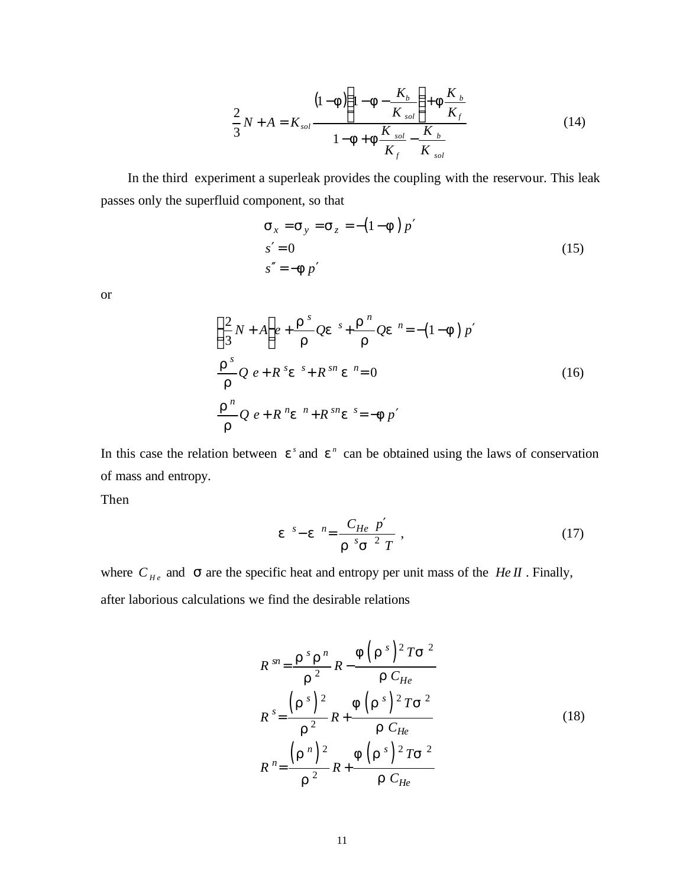$$
\frac{2}{3}N + A = K_{sol} \frac{(1 - F)\left(1 - F - \frac{K_b}{K_{sol}}\right) + F\frac{K_b}{K_f}}{1 - F + F\frac{K_{sol}}{K_f} - \frac{K_b}{K_{sol}}}
$$
(14)

In the third experiment a superleak provides the coupling with the reservour. This leak passes only the superfluid component, so that

$$
\mathbf{s}_x = \mathbf{s}_y = \mathbf{s}_z = -(1 - \mathbf{f})p'
$$
  
\n
$$
s' = 0
$$
  
\n
$$
s'' = -\mathbf{f}p'
$$
\n(15)

or

$$
\left(\frac{2}{3}N+A\right)e+\frac{r^{s}}{r}Qe^{s}+\frac{r^{n}}{r}Qe^{n}=-(1-f)p'
$$
\n
$$
\frac{r^{s}}{r}Q e+R^{s}e^{s}+R^{sn} e^{n}=0
$$
\n
$$
\frac{r^{n}}{r}Q e+R^{n}e^{n}+R^{sn} e^{s}=-fp'
$$
\n(16)

In this case the relation between  $e^s$  and  $e^n$  can be obtained using the laws of conservation of mass and entropy.

Then

$$
e^{-s} - e^{-n} = \frac{C_{He} p'}{r^{-s} s^{-2} T} , \qquad (17)
$$

where  $C_{He}$  and  $S$  are the specific heat and entropy per unit mass of the *He II*. Finally, after laborious calculations we find the desirable relations

$$
R^{sn} = \frac{\mathbf{r}^{s} \mathbf{r}^{n}}{\mathbf{r}^{2}} R - \frac{\mathbf{f}(\mathbf{r}^{s})^{2} T \mathbf{s}^{2}}{\mathbf{r}^{C_{He}}}
$$
  
\n
$$
R^{s} = \frac{(\mathbf{r}^{s})^{2}}{\mathbf{r}^{2}} R + \frac{\mathbf{f}(\mathbf{r}^{s})^{2} T \mathbf{s}^{2}}{\mathbf{r}^{C_{He}}}
$$
  
\n
$$
R^{n} = \frac{(\mathbf{r}^{n})^{2}}{\mathbf{r}^{2}} R + \frac{\mathbf{f}(\mathbf{r}^{s})^{2} T \mathbf{s}^{2}}{\mathbf{r}^{C_{He}}}
$$
  
\n(18)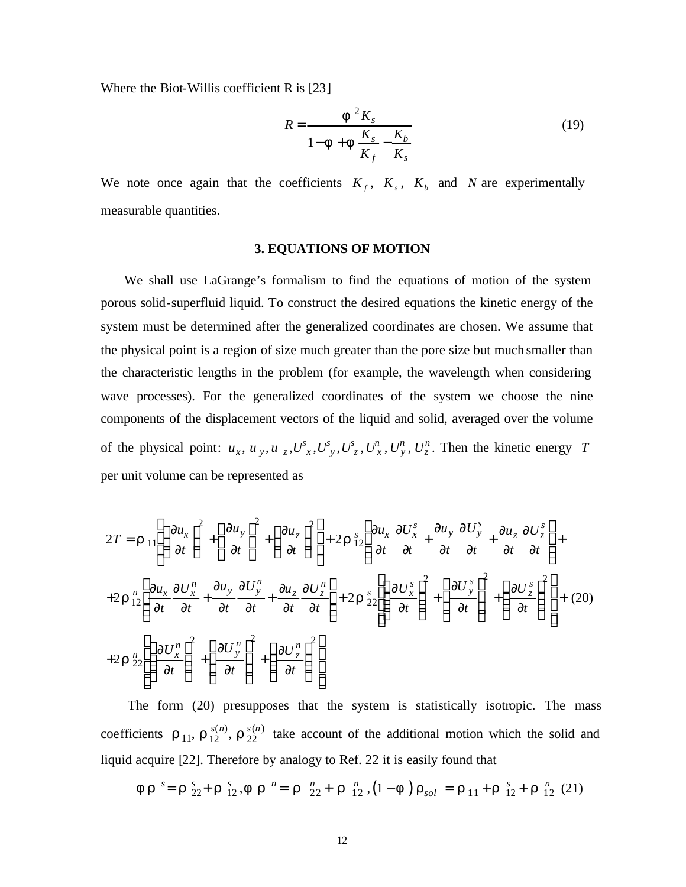Where the Biot-Willis coefficient R is [23]

$$
R = \frac{f^2 K_s}{1 - f + f \frac{K_s}{K_f} - \frac{K_b}{K_s}}
$$
(19)

We note once again that the coefficients  $K_f$ ,  $K_s$ ,  $K_b$  and *N* are experimentally measurable quantities.

#### **3. EQUATIONS OF MOTION**

We shall use LaGrange's formalism to find the equations of motion of the system porous solid-superfluid liquid. To construct the desired equations the kinetic energy of the system must be determined after the generalized coordinates are chosen. We assume that the physical point is a region of size much greater than the pore size but much smaller than the characteristic lengths in the problem (for example, the wavelength when considering wave processes). For the generalized coordinates of the system we choose the nine components of the displacement vectors of the liquid and solid, averaged over the volume of the physical point:  $u_x$ ,  $u_y$ ,  $u_z$ ,  $U^s_x$ ,  $U^s_y$ ,  $U^s_z$ ,  $U^n_x$ ,  $U^n_y$ ,  $U^n_z$ . Then the kinetic energy *T* per unit volume can be represented as

$$
2T = \mathbf{r}_{11} \left[ \left( \frac{\partial u_x}{\partial t} \right)^2 + \left( \frac{\partial u_y}{\partial t} \right)^2 + \left( \frac{\partial u_z}{\partial t} \right)^2 \right] + 2 \mathbf{r}_{12} \left[ \frac{\partial u_x}{\partial t} \frac{\partial U_x^s}{\partial t} + \frac{\partial u_y}{\partial t} \frac{\partial U_y^s}{\partial t} + \frac{\partial u_z}{\partial t} \frac{\partial U_z^s}{\partial t} \right] +
$$
  
+2  $\mathbf{r}_{12}^n \left[ \frac{\partial u_x}{\partial t} \frac{\partial U_x^n}{\partial t} + \frac{\partial u_y}{\partial t} \frac{\partial U_y^n}{\partial t} + \frac{\partial u_z}{\partial t} \frac{\partial U_z^n}{\partial t} \right] + 2 \mathbf{r}_{22} \left[ \left( \frac{\partial U_x^s}{\partial t} \right)^2 + \left( \frac{\partial U_y^s}{\partial t} \right)^2 + \left( \frac{\partial U_z^s}{\partial t} \right)^2 \right] + (20)$   
+2  $\mathbf{r}_{22}^n \left[ \left( \frac{\partial U_x^n}{\partial t} \right)^2 + \left( \frac{\partial U_y^n}{\partial t} \right)^2 + \left( \frac{\partial U_z^n}{\partial t} \right)^2 \right]$ 

The form (20) presupposes that the system is statistically isotropic. The mass coefficients  $\mathbf{r}_{11}$ ,  $\mathbf{r}_{12}^{s(n)}$ ,  $\mathbf{r}_{22}^{s(n)}$  take account of the additional motion which the solid and liquid acquire [22]. Therefore by analogy to Ref. 22 it is easily found that

$$
f\,\mathbf{r}^{\ s} = \mathbf{r}^{\ s}_{22} + \mathbf{r}^{\ s}_{12}, \mathbf{f}\,\mathbf{r}^{\ n} = \mathbf{r}^{\ n}_{22} + \mathbf{r}^{\ n}_{12}, \left(1 - \mathbf{f}\right)\mathbf{r}_{sol} = \mathbf{r}_{11} + \mathbf{r}^{\ s}_{12} + \mathbf{r}^{\ n}_{12} \tag{21}
$$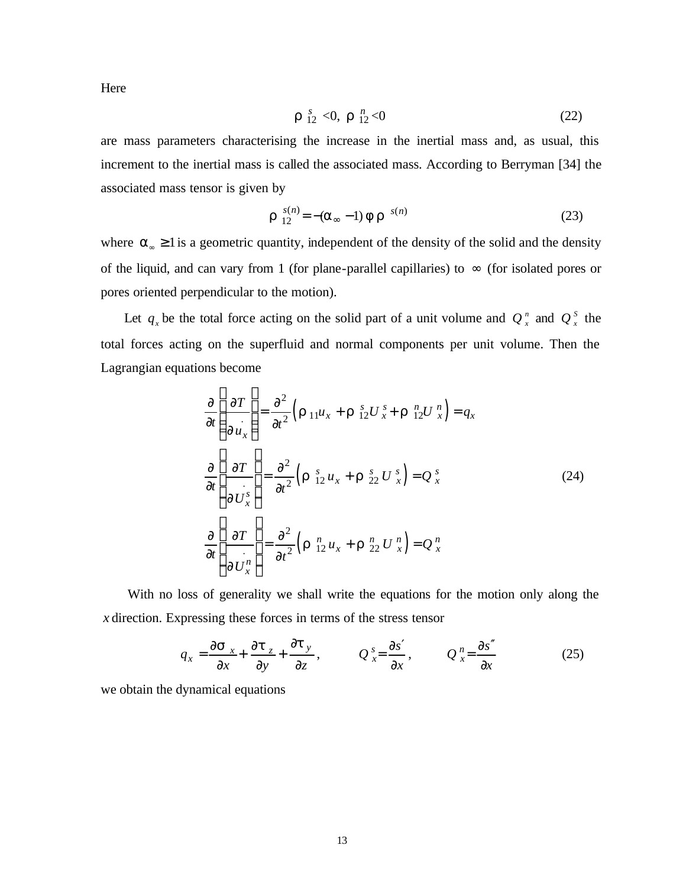Here

$$
r \, \mathop{?}\limits^s_{12} < 0, \, r \, \mathop{?}\limits^n_{12} < 0 \tag{22}
$$

are mass parameters characterising the increase in the inertial mass and, as usual, this increment to the inertial mass is called the associated mass. According to Berryman [34] the associated mass tensor is given by

$$
r_{12}^{s(n)} = -(a_{\infty} - 1) \mathbf{f} r_{s(n)}
$$
 (23)

where  $\alpha_{\infty} \ge 1$  is a geometric quantity, independent of the density of the solid and the density of the liquid, and can vary from 1 (for plane-parallel capillaries) to  $\infty$  (for isolated pores or pores oriented perpendicular to the motion).

Let  $q_x$  be the total force acting on the solid part of a unit volume and  $Q_x^r$  and  $Q_y^s$  the total forces acting on the superfluid and normal components per unit volume. Then the Lagrangian equations become

$$
\frac{\partial}{\partial t} \left( \frac{\partial T}{\partial u_x} \right) = \frac{\partial^2}{\partial t^2} \left( \mathbf{r}_{11} u_x + \mathbf{r}_{12}^s U_x^s + \mathbf{r}_{12}^n U_x^n \right) = q_x
$$
\n
$$
\frac{\partial}{\partial t} \left( \frac{\partial T}{\partial U_x^s} \right) = \frac{\partial^2}{\partial t^2} \left( \mathbf{r}_{12}^s u_x + \mathbf{r}_{22}^s U_x^s \right) = Q_x^s \tag{24}
$$
\n
$$
\frac{\partial}{\partial t} \left( \frac{\partial T}{\partial U_x^n} \right) = \frac{\partial^2}{\partial t^2} \left( \mathbf{r}_{12}^n u_x + \mathbf{r}_{22}^n U_x^n \right) = Q_x^n
$$

With no loss of generality we shall write the equations for the motion only along the *x* direction. Expressing these forces in terms of the stress tensor

$$
q_x = \frac{\partial s}{\partial x} + \frac{\partial t}{\partial y} + \frac{\partial t}{\partial z}, \qquad Q_x^s = \frac{\partial s'}{\partial x}, \qquad Q_x^n = \frac{\partial s''}{\partial x}
$$
 (25)

we obtain the dynamical equations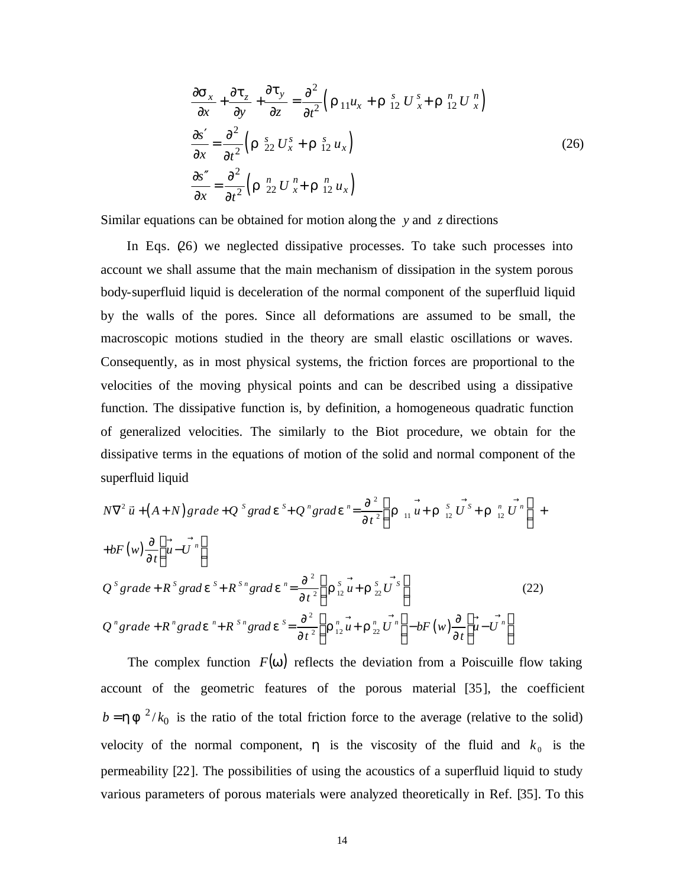$$
\frac{\partial \mathbf{s}_x}{\partial x} + \frac{\partial \mathbf{t}_z}{\partial y} + \frac{\partial \mathbf{t}_y}{\partial z} = \frac{\partial^2}{\partial t^2} \Big( \mathbf{r}_{11} u_x + \mathbf{r}_{12}^s U_x^s + \mathbf{r}_{12}^n U_x^n \Big)
$$
\n
$$
\frac{\partial \mathbf{s}'}{\partial x} = \frac{\partial^2}{\partial t^2} \Big( \mathbf{r}_{22}^s U_x^s + \mathbf{r}_{12}^s u_x \Big)
$$
\n
$$
\frac{\partial \mathbf{s}''}{\partial x} = \frac{\partial^2}{\partial t^2} \Big( \mathbf{r}_{22}^n U_x^s + \mathbf{r}_{12}^n u_x \Big)
$$
\n(26)

Similar equations can be obtained for motion along the *y* and *z* directions

In Eqs. (26) we neglected dissipative processes. To take such processes into account we shall assume that the main mechanism of dissipation in the system porous body-superfluid liquid is deceleration of the normal component of the superfluid liquid by the walls of the pores. Since all deformations are assumed to be small, the macroscopic motions studied in the theory are small elastic oscillations or waves. Consequently, as in most physical systems, the friction forces are proportional to the velocities of the moving physical points and can be described using a dissipative function. The dissipative function is, by definition, a homogeneous quadratic function of generalized velocities. The similarly to the Biot procedure, we obtain for the dissipative terms in the equations of motion of the solid and normal component of the superfluid liquid

$$
N\nabla^2 \vec{u} + (A+N) grade + Q^s grade^s + Q^n grade^s = \frac{\partial^2}{\partial t^2} \left( \mathbf{r}_{11} \vec{u} + \mathbf{r}_{12}^s \vec{U}^s + \mathbf{r}_{12}^s \vec{U}^n \right) ++ bF(w) \frac{\partial}{\partial t} \left( \vec{u} - \vec{U}^n \right)
$$
  

$$
Q^s grade + R^s grade^s + R^{s_n} grade^s = \frac{\partial^2}{\partial t^2} \left( \mathbf{r}_{12}^s \vec{u} + \mathbf{r}_{22}^s \vec{U}^s \right)
$$
  

$$
Q^n grade + R^n grade^s + R^{s_n} grade^s = \frac{\partial^2}{\partial t^2} \left( \mathbf{r}_{12}^s \vec{u} + \mathbf{r}_{22}^s \vec{U}^s \right)
$$
 (22)  

$$
Q^n grade + R^n grade^s + R^{s_n} grade^s = \frac{\partial^2}{\partial t^2} \left( \mathbf{r}_{12}^s \vec{u} + \mathbf{r}_{22}^s \vec{U}^n \right) - bF(w) \frac{\partial}{\partial t} \left( \vec{u} - \vec{U}^n \right)
$$

The complex function  $F(w)$  reflects the deviation from a Poiscuille flow taking account of the geometric features of the porous material [35], the coefficient  $b = h f^{2}/k_0$  is the ratio of the total friction force to the average (relative to the solid) velocity of the normal component,  $\boldsymbol{h}$  is the viscosity of the fluid and  $k_0$  is the permeability [22]. The possibilities of using the acoustics of a superfluid liquid to study various parameters of porous materials were analyzed theoretically in Ref. [35]. To this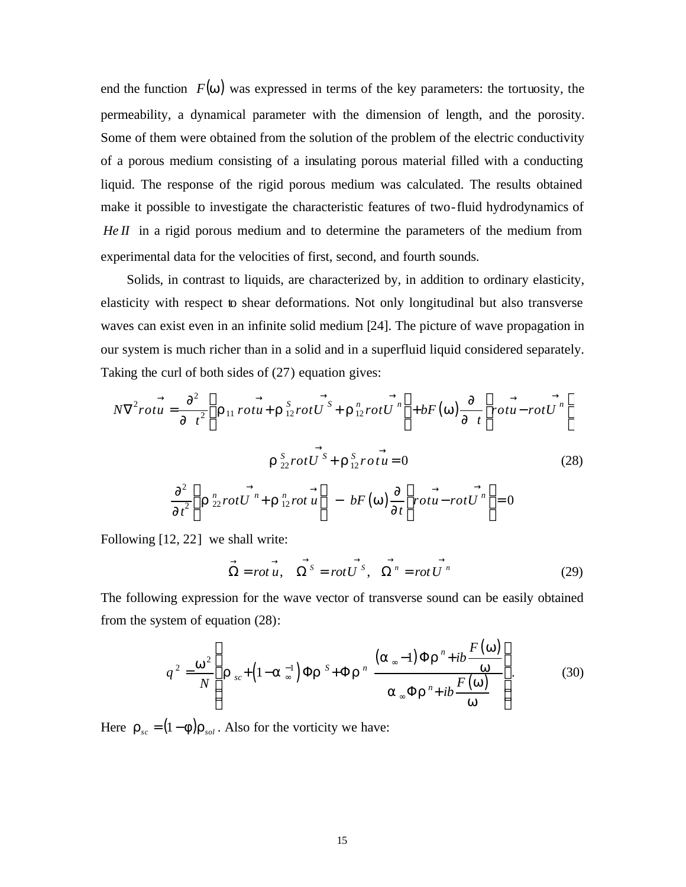end the function  $F(w)$  was expressed in terms of the key parameters: the tortuosity, the permeability, a dynamical parameter with the dimension of length, and the porosity. Some of them were obtained from the solution of the problem of the electric conductivity of a porous medium consisting of a insulating porous material filled with a conducting liquid. The response of the rigid porous medium was calculated. The results obtained make it possible to investigate the characteristic features of two-fluid hydrodynamics of *He II* in a rigid porous medium and to determine the parameters of the medium from experimental data for the velocities of first, second, and fourth sounds.

Solids, in contrast to liquids, are characterized by, in addition to ordinary elasticity, elasticity with respect to shear deformations. Not only longitudinal but also transverse waves can exist even in an infinite solid medium [24]. The picture of wave propagation in our system is much richer than in a solid and in a superfluid liquid considered separately. Taking the curl of both sides of (27) equation gives:

$$
N\nabla^2 rot\vec{u} = \frac{\partial^2}{\partial t^2} \left( \vec{r}_{11} \, rot\vec{u} + \vec{r}_{12}^S rot\vec{U}^S + \vec{r}_{12}^S rot\vec{U}^n \right) + bF(\vec{w}) \frac{\partial}{\partial t} \left( \vec{rot} \vec{u} - rot\vec{U}^n \right)
$$
\n
$$
\vec{r}_{22}^S rot\vec{U}^S + \vec{r}_{12}^S rot\vec{u} = 0 \qquad (28)
$$
\n
$$
\frac{\partial^2}{\partial t^2} \left( \vec{r}_{22}^N rot\vec{U}^n + \vec{r}_{12}^N rot\vec{u} \right) - bF(\vec{w}) \frac{\partial}{\partial t} \left( rot\vec{u} - rot\vec{U}^n \right) = 0
$$

Following [12, 22] we shall write:

$$
\overrightarrow{\Omega} = rot\overrightarrow{u}, \quad \overrightarrow{\Omega^s} = rot\overrightarrow{U^s}, \quad \overrightarrow{\Omega^n} = rot\overrightarrow{U^n}
$$
 (29)

The following expression for the wave vector of transverse sound can be easily obtained from the system of equation (28):

$$
q^{2} = \frac{w^{2}}{N} \left( \mathbf{r}_{sc} + \left( 1 - \mathbf{a}_{\infty}^{-1} \right) \Phi \mathbf{r}^{S} + \Phi \mathbf{r}^{n} \frac{\left( \mathbf{a}_{\infty} - 1 \right) \Phi \mathbf{r}^{n} + ib \frac{F(w)}{w}}{\mathbf{a}_{\infty} \Phi \mathbf{r}^{n} + ib \frac{F(w)}{w}} \right).
$$
(30)

Here  $\mathbf{r}_{sc} = (1 - \mathbf{f}) \mathbf{r}_{sol}$ . Also for the vorticity we have: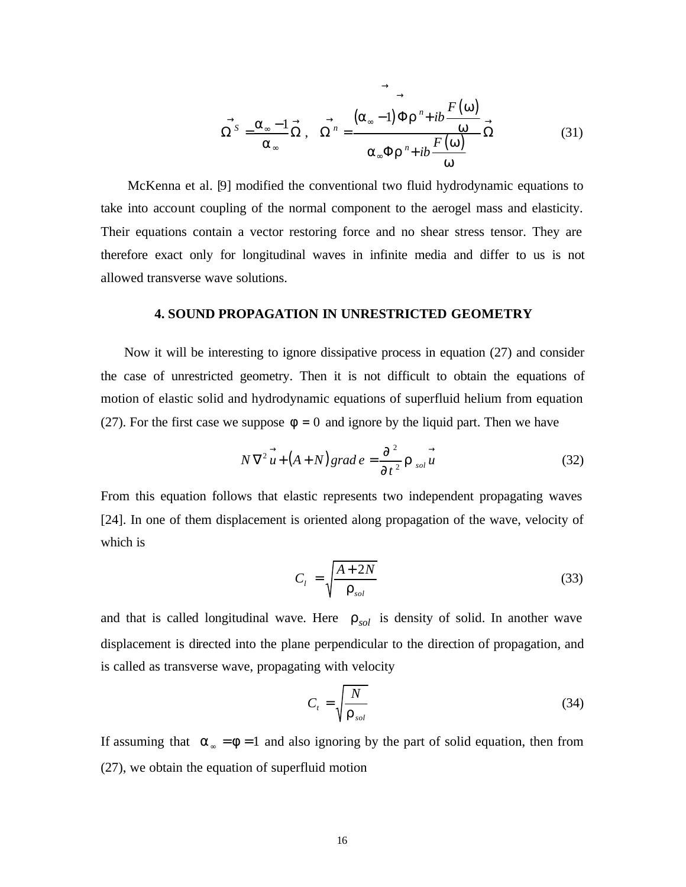$$
\overrightarrow{\Omega^{S}} = \frac{\mathbf{a}_{\infty} - 1}{\mathbf{a}_{\infty}} \overrightarrow{\Omega}, \quad \overrightarrow{\Omega^{n}} = \frac{(\mathbf{a}_{\infty} - 1) \Phi \mathbf{r}^{n} + ib \frac{F(\mathbf{w})}{\mathbf{w}}}{\mathbf{a}_{\infty} \Phi \mathbf{r}^{n} + ib \frac{F(\mathbf{w})}{\mathbf{w}}} \overrightarrow{\Omega}
$$
(31)

McKenna et al. [9] modified the conventional two fluid hydrodynamic equations to take into account coupling of the normal component to the aerogel mass and elasticity. Their equations contain a vector restoring force and no shear stress tensor. They are therefore exact only for longitudinal waves in infinite media and differ to us is not allowed transverse wave solutions.

#### **4. SOUND PROPAGATION IN UNRESTRICTED GEOMETRY**

Now it will be interesting to ignore dissipative process in equation (27) and consider the case of unrestricted geometry. Then it is not difficult to obtain the equations of motion of elastic solid and hydrodynamic equations of superfluid helium from equation (27). For the first case we suppose  $f = 0$  and ignore by the liquid part. Then we have

$$
N\,\nabla^2\stackrel{\rightarrow}{u} + (A+N)\,grad\,e = \frac{\partial^2}{\partial t^2}\,\mathbf{r}\,_{sol}\stackrel{\rightarrow}{u}\tag{32}
$$

From this equation follows that elastic represents two independent propagating waves [24]. In one of them displacement is oriented along propagation of the wave, velocity of which is

$$
C_l = \sqrt{\frac{A + 2N}{\mathbf{r}_{sol}}}
$$
\n(33)

and that is called longitudinal wave. Here  $r_{sol}$  is density of solid. In another wave displacement is directed into the plane perpendicular to the direction of propagation, and is called as transverse wave, propagating with velocity

$$
C_t = \sqrt{\frac{N}{\mathbf{r}_{sol}}} \tag{34}
$$

If assuming that  $a_{\infty} = f = 1$  and also ignoring by the part of solid equation, then from (27), we obtain the equation of superfluid motion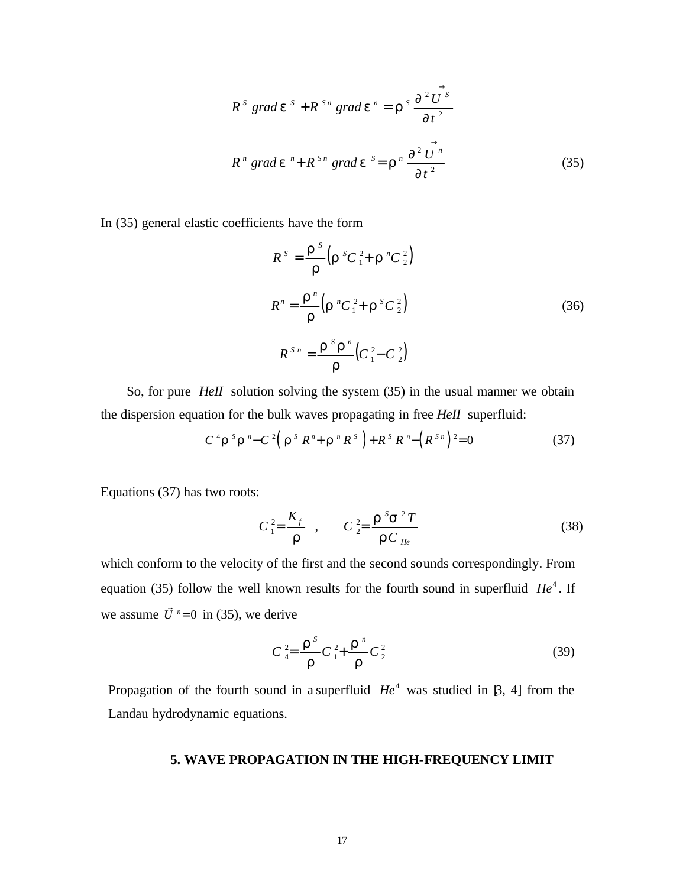$$
R^{s} \text{ grad } \mathbf{e}^{s} + R^{s_{n}} \text{ grad } \mathbf{e}^{n} = \mathbf{r}^{s} \frac{\partial^{2} \vec{U}^{s}}{\partial t^{2}}
$$
\n
$$
R^{n} \text{ grad } \mathbf{e}^{n} + R^{s_{n}} \text{ grad } \mathbf{e}^{s} = \mathbf{r}^{n} \frac{\partial^{2} \vec{U}^{n}}{\partial t^{2}}
$$
\n(35)

In (35) general elastic coefficients have the form

$$
R^{S} = \frac{\boldsymbol{r}^{S}}{\boldsymbol{r}} \Big( \boldsymbol{r}^{S} C_{1}^{2} + \boldsymbol{r}^{n} C_{2}^{2} \Big)
$$
  

$$
R^{n} = \frac{\boldsymbol{r}^{n}}{\boldsymbol{r}} \Big( \boldsymbol{r}^{n} C_{1}^{2} + \boldsymbol{r}^{S} C_{2}^{2} \Big)
$$
  

$$
R^{S_{n}} = \frac{\boldsymbol{r}^{S} \boldsymbol{r}^{n}}{\boldsymbol{r}} \Big( C_{1}^{2} - C_{2}^{2} \Big)
$$
 (36)

So, for pure *HeII* solution solving the system (35) in the usual manner we obtain the dispersion equation for the bulk waves propagating in free *HeII* superfluid:

$$
C^4 \mathbf{r}^s \mathbf{r}^n - C^2 (\mathbf{r}^s R^n + \mathbf{r}^s R^s) + R^s R^n - (R^{s_n})^2 = 0
$$
 (37)

Equations (37) has two roots:

$$
C_1^2 = \frac{K_f}{r} , \qquad C_2^2 = \frac{r^5 s^2 T}{r C_{He}}
$$
 (38)

which conform to the velocity of the first and the second sounds correspondingly. From equation (35) follow the well known results for the fourth sound in superfluid  $He<sup>4</sup>$ . If we assume  $\vec{U}$ <sup>n</sup>=0 l<br>E in (35), we derive

$$
C_4^2 = \frac{r^5}{r} C_1^2 + \frac{r^n}{r} C_2^2
$$
 (39)

Propagation of the fourth sound in a superfluid  $He<sup>4</sup>$  was studied in [3, 4] from the Landau hydrodynamic equations.

### **5. WAVE PROPAGATION IN THE HIGH-FREQUENCY LIMIT**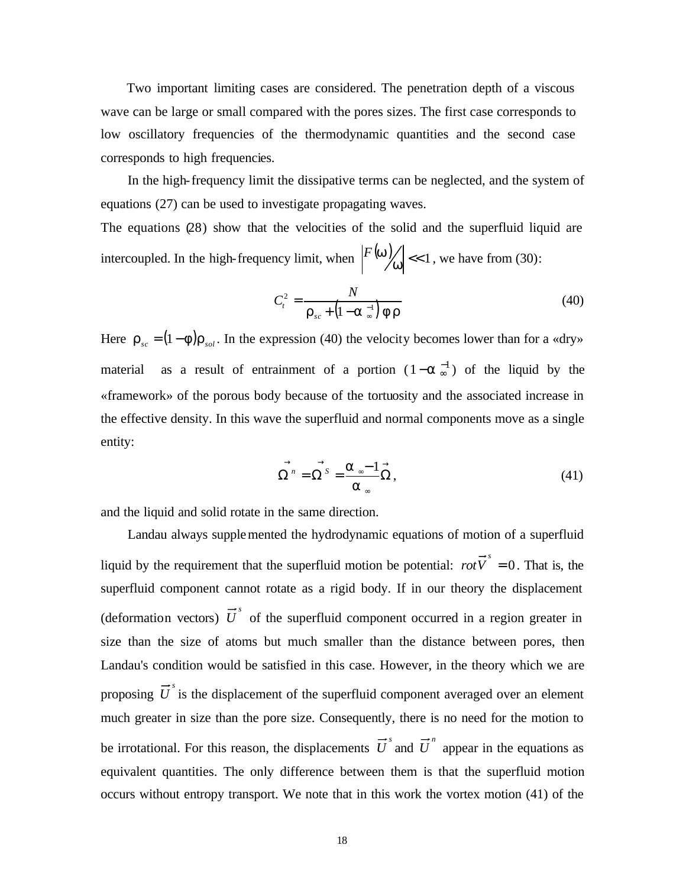Two important limiting cases are considered. The penetration depth of a viscous wave can be large or small compared with the pores sizes. The first case corresponds to low oscillatory frequencies of the thermodynamic quantities and the second case corresponds to high frequencies.

In the high-frequency limit the dissipative terms can be neglected, and the system of equations (27) can be used to investigate propagating waves.

The equations (28) show that the velocities of the solid and the superfluid liquid are intercoupled. In the high-frequency limit, when  $\left| \frac{F(w)}{w} \right| \ll 1$ , we have from (30):

$$
C_t^2 = \frac{N}{\mathbf{r}_{sc} + \left(1 - \mathbf{a}_{\infty}^{-1}\right) \mathbf{f} \mathbf{r}}
$$
(40)

Here  $\mathbf{r}_{sc} = (1 - \mathbf{f}) \mathbf{r}_{sol}$ . In the expression (40) the velocity becomes lower than for a «dry» material as a result of entrainment of a portion  $(1-a<sub>∞</sub><sup>-1</sup>)$  of the liquid by the «framework» of the porous body because of the tortuosity and the associated increase in the effective density. In this wave the superfluid and normal components move as a single entity:

$$
\overrightarrow{\Omega}^{n} = \overrightarrow{\Omega}^{s} = \frac{\overrightarrow{a}^{n} - 1}{\overrightarrow{a}^{n}} \overrightarrow{\Omega},
$$
\n(41)

and the liquid and solid rotate in the same direction.

Landau always supplemented the hydrodynamic equations of motion of a superfluid liquid by the requirement that the superfluid motion be potential:  $rot\vec{V}^s = 0$ . That is, the superfluid component cannot rotate as a rigid body. If in our theory the displacement (deformation vectors)  $\vec{U}^s$  of the superfluid component occurred in a region greater in size than the size of atoms but much smaller than the distance between pores, then Landau's condition would be satisfied in this case. However, in the theory which we are proposing  $\vec{U}^s$  is the displacement of the superfluid component averaged over an element much greater in size than the pore size. Consequently, there is no need for the motion to be irrotational. For this reason, the displacements  $\vec{U}^s$  and  $\vec{U}^n$  appear in the equations as equivalent quantities. The only difference between them is that the superfluid motion occurs without entropy transport. We note that in this work the vortex motion (41) of the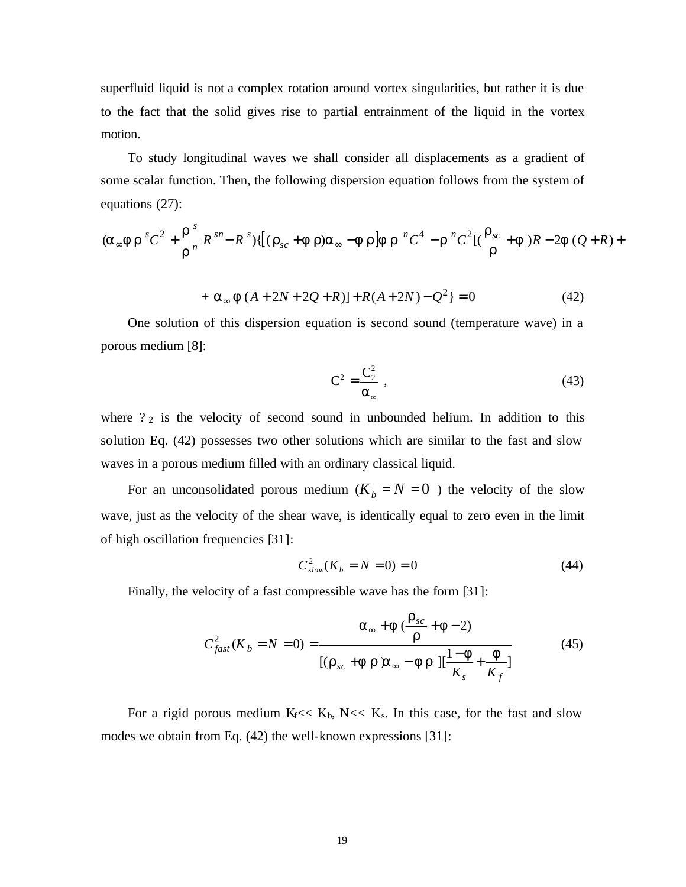superfluid liquid is not a complex rotation around vortex singularities, but rather it is due to the fact that the solid gives rise to partial entrainment of the liquid in the vortex motion.

To study longitudinal waves we shall consider all displacements as a gradient of some scalar function. Then, the following dispersion equation follows from the system of equations (27):

$$
(\mathbf{a}_{\infty} f \mathbf{r}^s C^2 + \frac{\mathbf{r}^s}{\mathbf{r}^n} R^{sn} - R^s) \{[(\mathbf{r}_{sc} + \mathbf{f} \mathbf{r}) \mathbf{a}_{\infty} - \mathbf{f} \mathbf{r}] \mathbf{f} \mathbf{r}^n C^4 - \mathbf{r}^n C^2 [(\frac{\mathbf{r}_{sc}}{\mathbf{r}} + \mathbf{f})R - 2\mathbf{f}(Q + R) +
$$

+ 
$$
\mathbf{a}_{\infty} \mathbf{f}(A + 2N + 2Q + R)\mathbf{]} + R(A + 2N) - Q^2\mathbf{ } = 0
$$
 (42)

One solution of this dispersion equation is second sound (temperature wave) in a porous medium [8]:

$$
C^2 = \frac{C_2^2}{\alpha_{\infty}} \tag{43}
$$

where  $2<sub>2</sub>$  is the velocity of second sound in unbounded helium. In addition to this solution Eq. (42) possesses two other solutions which are similar to the fast and slow waves in a porous medium filled with an ordinary classical liquid.

For an unconsolidated porous medium  $(K_b = N = 0)$  the velocity of the slow wave, just as the velocity of the shear wave, is identically equal to zero even in the limit of high oscillation frequencies [31]:

$$
C_{slow}^2(K_b = N = 0) = 0
$$
\n(44)

Finally, the velocity of a fast compressible wave has the form [31]:

$$
C_{fast}^2(K_b = N = 0) = \frac{\mathbf{a}_{\infty} + \mathbf{f}(\frac{\mathbf{r}_{sc}}{\mathbf{r}} + \mathbf{f} - 2)}{[(\mathbf{r}_{sc} + \mathbf{f} \mathbf{r})\mathbf{a}_{\infty} - \mathbf{f} \mathbf{r}][\frac{1 - \mathbf{f}}{K_s} + \frac{\mathbf{f}}{K_f}]}
$$
(45)

For a rigid porous medium K<sub>f</sub> << K<sub>b</sub>, N << K<sub>s</sub>. In this case, for the fast and slow modes we obtain from Eq. (42) the well-known expressions [31]: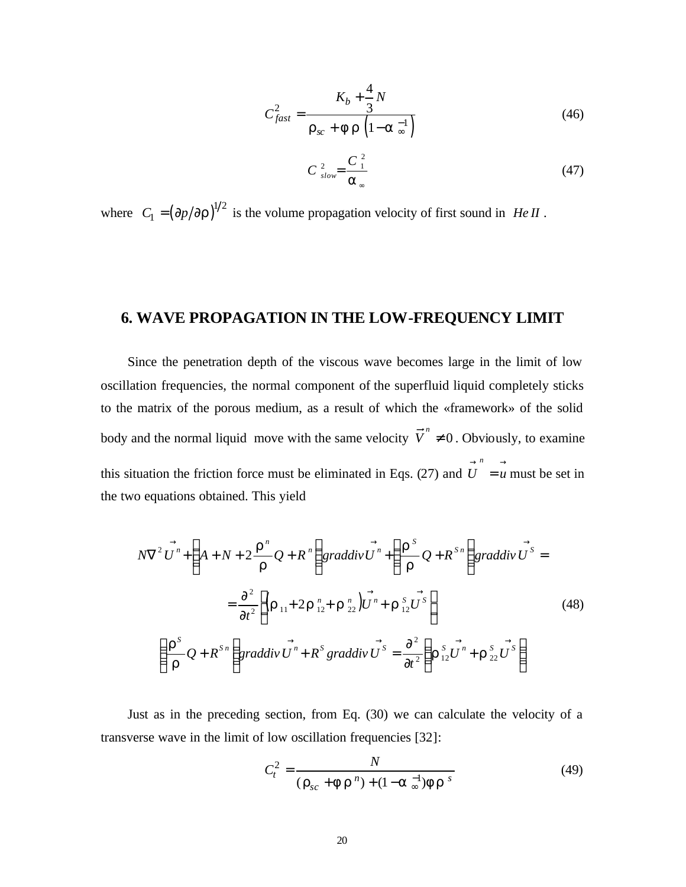$$
C_{fast}^2 = \frac{K_b + \frac{4}{3}N}{\mathbf{r}_{sc} + \mathbf{f}\,\mathbf{r}\,\left(1 - \mathbf{a}\,\frac{-1}{\infty}\right)}\tag{46}
$$

$$
C_{slow}^{2} = \frac{C_{1}^{2}}{a_{\infty}}
$$
 (47)

where  $C_1 = (\partial p / \partial r)^{1/2}$  is the volume propagation velocity of first sound in *He II*.

### **6. WAVE PROPAGATION IN THE LOW-FREQUENCY LIMIT**

Since the penetration depth of the viscous wave becomes large in the limit of low oscillation frequencies, the normal component of the superfluid liquid completely sticks to the matrix of the porous medium, as a result of which the «framework» of the solid body and the normal liquid move with the same velocity  $\vec{V}^n \cdot \mathbf{1}$  0. Obviously, to examine this situation the friction force must be eliminated in Eqs. (27) and  $\overrightarrow{U} = \overrightarrow{u}$ *n* must be set in the two equations obtained. This yield

$$
N\nabla^2 \vec{U}^n + \left( A + N + 2 \frac{\vec{r}^n}{r} Q + R^n \right) \text{graddiv } \vec{U}^n + \left( \frac{\vec{r}^s}{r} Q + R^{s_n} \right) \text{graddiv } \vec{U}^s =
$$
\n
$$
= \frac{\partial^2}{\partial t^2} \left[ (\vec{r}_{11} + 2 \vec{r}_{12}^n + \vec{r}_{22}^n) \vec{U}^n + \vec{r}_{12}^s \vec{U}^s \right] \tag{48}
$$
\n
$$
\left( \frac{\vec{r}^s}{r} Q + R^{s_n} \right) \text{graddiv } \vec{U}^n + R^s \text{ graddiv } \vec{U}^s = \frac{\partial^2}{\partial t^2} \left( \vec{r}_{12}^s \vec{U}^n + \vec{r}_{22}^s \vec{U}^s \right)
$$

Just as in the preceding section, from Eq. (30) we can calculate the velocity of a transverse wave in the limit of low oscillation frequencies [32]:

$$
C_t^2 = \frac{N}{(\mathbf{r}_{sc} + \mathbf{f} \mathbf{r}^n) + (1 - \mathbf{a}^{-1}) \mathbf{f} \mathbf{r}^s}
$$
(49)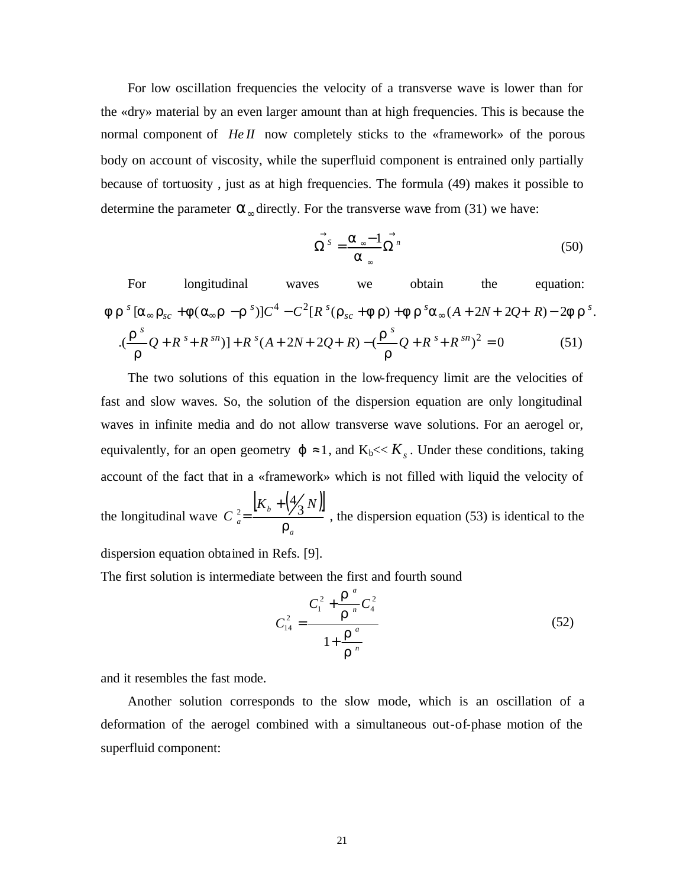For low oscillation frequencies the velocity of a transverse wave is lower than for the «dry» material by an even larger amount than at high frequencies. This is because the normal component of *HeII* now completely sticks to the «framework» of the porous body on account of viscosity, while the superfluid component is entrained only partially because of tortuosity , just as at high frequencies. The formula (49) makes it possible to determine the parameter  $\boldsymbol{a}_{\infty}$  directly. For the transverse wave from (31) we have:

$$
\vec{\Omega}^{s} = \frac{\vec{a} - 1}{\vec{a}^{n}} \vec{\Omega}^{n}
$$
 (50)

For longitudinal waves we obtain the equation:  
\n
$$
\mathbf{f} \mathbf{r}^{s} [\mathbf{a}_{\infty} \mathbf{r}_{sc} + \mathbf{f} (\mathbf{a}_{\infty} \mathbf{r} - \mathbf{r}^{s})] C^{4} - C^{2} [R^{s} (\mathbf{r}_{sc} + \mathbf{f} \mathbf{r}) + \mathbf{f} \mathbf{r}^{s} \mathbf{a}_{\infty} (A + 2N + 2Q + R) - 2\mathbf{f} \mathbf{r}^{s}.
$$
\n
$$
\cdot \frac{(\mathbf{r}^{s})}{\mathbf{r}} Q + R^{s} + R^{sn}) + R^{s} (A + 2N + 2Q + R) - (\frac{\mathbf{r}^{s}}{\mathbf{r}} Q + R^{s} + R^{sn})^{2} = 0
$$
\n(51)

The two solutions of this equation in the low-frequency limit are the velocities of fast and slow waves. So, the solution of the dispersion equation are only longitudinal waves in infinite media and do not allow transverse wave solutions. For an aerogel or, equivalently, for an open geometry  $j \approx 1$ , and  $K_b \ll K_s$ . Under these conditions, taking account of the fact that in a «framework» which is not filled with liquid the velocity of the longitudinal wave  $[K_{h} + (\frac{1}{2} N)]$ *a b a*  $K_{h} + \frac{4}{2}N$ *C r* 3 4  $_{2}$   $\left| K_{b}+ \right|$  $=\frac{160 \times 10^{-14}}{200 \times 10^{-14}}$ , the dispersion equation (53) is identical to the

dispersion equation obtained in Refs. [9].

The first solution is intermediate between the first and fourth sound

$$
C_{14}^{2} = \frac{C_{1}^{2} + \frac{\mathbf{r}^{a}}{\mathbf{r}^{n}} C_{4}^{2}}{1 + \frac{\mathbf{r}^{a}}{\mathbf{r}^{n}}}
$$
(52)

and it resembles the fast mode.

Another solution corresponds to the slow mode, which is an oscillation of a deformation of the aerogel combined with a simultaneous out-of-phase motion of the superfluid component: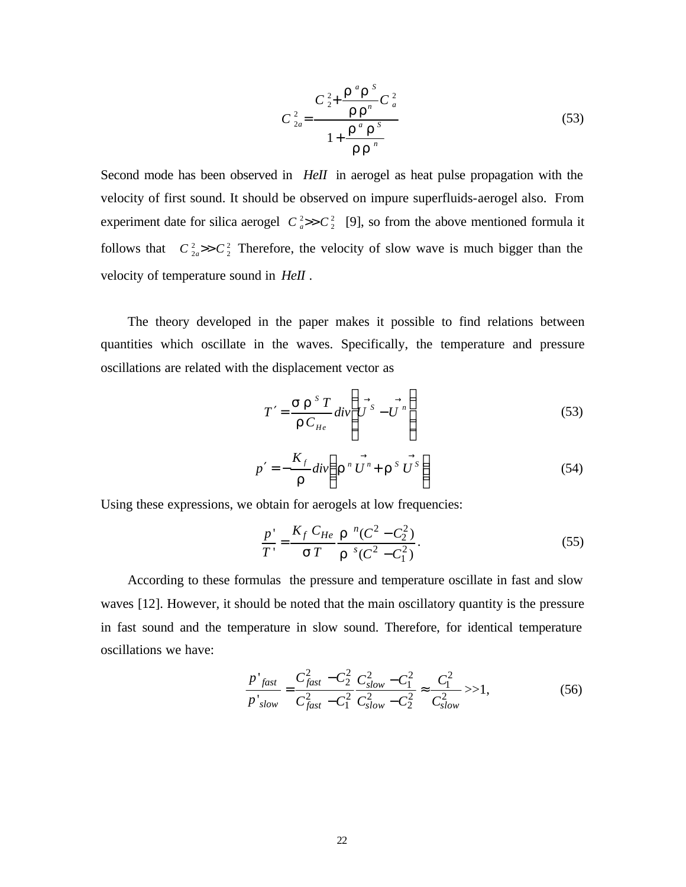$$
C_{2a}^{2} = \frac{C_{2}^{2} + \frac{\mathbf{r}^{a} \mathbf{r}^{s}}{\mathbf{r} \mathbf{r}^{n}} C_{a}^{2}}{1 + \frac{\mathbf{r}^{a} \mathbf{r}^{s}}{\mathbf{r} \mathbf{r}^{n}}}
$$
(53)

Second mode has been observed in *HeII* in aerogel as heat pulse propagation with the velocity of first sound. It should be observed on impure superfluids-aerogel also. From experiment date for silica aerogel  $C_a^2 \gg C_2^2$  [9], so from the above mentioned formula it follows that  $C_{2a}^2 >> C_2^2$  Therefore, the velocity of slow wave is much bigger than the velocity of temperature sound in *HeII* .

The theory developed in the paper makes it possible to find relations between quantities which oscillate in the waves. Specifically, the temperature and pressure oscillations are related with the displacement vector as

$$
T' = \frac{\mathbf{S} \mathbf{r}^{S} T}{\mathbf{r} C_{He}} \, div \left( U^{S} - U^{n} \right) \tag{53}
$$

$$
p' = -\frac{K_f}{r}div\left(\mathbf{r}^n \vec{U}^n + \mathbf{r}^s \vec{U}^s\right)
$$
 (54)

Using these expressions, we obtain for aerogels at low frequencies:

$$
\frac{p'}{T'} = \frac{K_f C_{He}}{sT} \frac{r^{n} (C^2 - C_2^2)}{r^{s} (C^2 - C_1^2)}.
$$
\n(55)

According to these formulas the pressure and temperature oscillate in fast and slow waves [12]. However, it should be noted that the main oscillatory quantity is the pressure in fast sound and the temperature in slow sound. Therefore, for identical temperature oscillations we have:

$$
\frac{p'_{fast}}{p'_{slow}} = \frac{C_{fast}^2 - C_2^2}{C_{fast}^2 - C_1^2} \frac{C_{slow}^2 - C_1^2}{C_{slow}^2} \approx \frac{C_1^2}{C_{slow}^2} \gg 1,
$$
\n(56)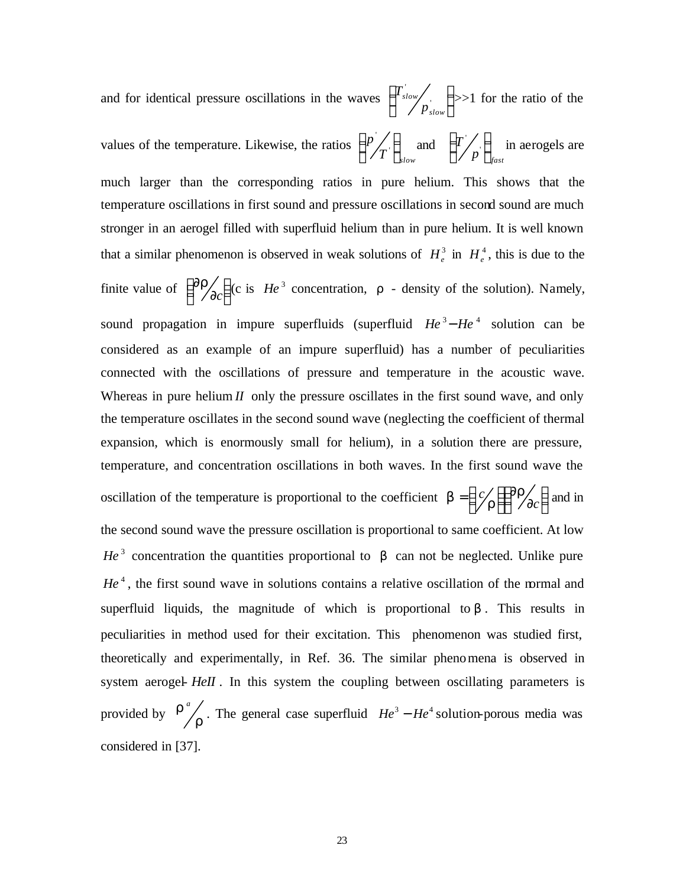and for identical pressure oscillations in the waves  $\int_0^1 s \, dw'$ .  $\overline{\phantom{a}}$  $\left(T_{slow}\right)$ l  $\left(T_{slow}\right)$ *slow slow p*  $\left(T_{slow}\right)$  >>1 for the ratio of the values of the temperature. Likewise, the ratios  $T^{'}\int_{slow}$  $p'_{\boldsymbol{\tau}}$  $\overline{\phantom{a}}$  $\left(\frac{p}{T}\right)$ l  $\left(\frac{p}{T}\right)$  $\left\langle T \right\rangle_{slow}$  and  $\left\{ T \middle/ p \right\}_{fast}$  $T/\sqrt{2}$  $\overline{\phantom{a}}$  $\lambda$  $\mathsf{I}$ l  $\left(T/$ ' in aerogels are much larger than the corresponding ratios in pure helium. This shows that the temperature oscillations in first sound and pressure oscillations in second sound are much stronger in an aerogel filled with superfluid helium than in pure helium. It is well known that a similar phenomenon is observed in weak solutions of  $H_e^3$  in  $H_e^4$ , this is due to the finite value of  $\begin{bmatrix} \sigma I \\ \sigma C \end{bmatrix}$  $\begin{pmatrix} \partial \bm{\mathit{r}} \ \partial \bm{\sigma} \end{pmatrix}$ ſ ∂ ∂ *c*  $r_{\text{A}_\text{A}}$  (c is *He*<sup>3</sup> concentration, *r* - density of the solution). Namely, sound propagation in impure superfluids (superfluid  $He^{3}-He^{4}$  solution can be considered as an example of an impure superfluid) has a number of peculiarities connected with the oscillations of pressure and temperature in the acoustic wave. Whereas in pure helium  $I$  only the pressure oscillates in the first sound wave, and only the temperature oscillates in the second sound wave (neglecting the coefficient of thermal expansion, which is enormously small for helium), in a solution there are pressure, temperature, and concentration oscillations in both waves. In the first sound wave the oscillation of the temperature is proportional to the coefficient  $\mathbf{b} = \left(\frac{c}{r}\right) \left(\frac{\partial T}{\partial c}\right)$  $\begin{pmatrix} \partial \bm{\mathit{r}} \ \partial \bm{\sigma} \end{pmatrix}$ ſ ∂ ∂  $\left( \frac{c}{r}\right)$  $=\left(\frac{c}{r}\right)\left(\frac{\partial r}{\partial c}\right)$ *c f*  $\int$  $\boldsymbol{b} = \left(\frac{c}{r}\right) \left(\frac{\partial \boldsymbol{r}}{\partial c}\right)$  and in the second sound wave the pressure oscillation is proportional to same coefficient. At low  $He<sup>3</sup>$  concentration the quantities proportional to **b** can not be neglected. Unlike pure He<sup>4</sup>, the first sound wave in solutions contains a relative oscillation of the normal and superfluid liquids, the magnitude of which is proportional to **. This results in** peculiarities in method used for their excitation. This phenomenon was studied first, theoretically and experimentally, in Ref. 36. The similar phenomena is observed in system aerogel- *HeII*. In this system the coupling between oscillating parameters is provided by  $\frac{r}{r}$  $r^a$ . The general case superfluid  $He^3 - He^4$  solution-porous media was considered in [37].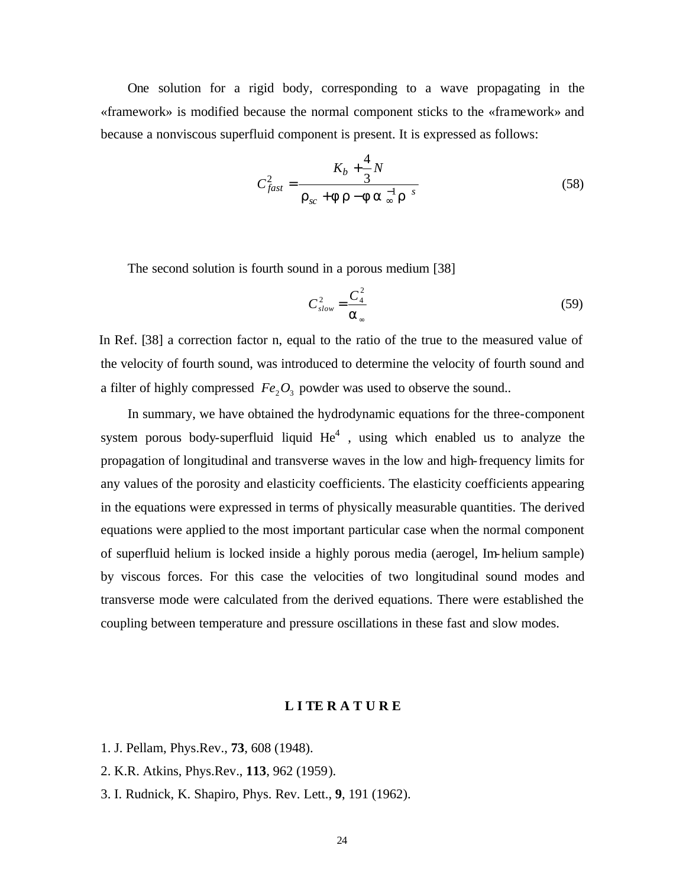One solution for a rigid body, corresponding to a wave propagating in the «framework» is modified because the normal component sticks to the «framework» and because a nonviscous superfluid component is present. It is expressed as follows:

$$
C_{fast}^2 = \frac{K_b + \frac{4}{3}N}{\mathbf{r}_{sc} + \mathbf{f}\,\mathbf{r} - \mathbf{f}\,\mathbf{a}\,_{\infty}^{-1}\mathbf{r}^{-s}}
$$
(58)

The second solution is fourth sound in a porous medium [38]

$$
C_{slow}^2 = \frac{C_4^2}{a_{\infty}}
$$
 (59)

In Ref. [38] a correction factor n, equal to the ratio of the true to the measured value of the velocity of fourth sound, was introduced to determine the velocity of fourth sound and a filter of highly compressed  $Fe<sub>2</sub>O<sub>3</sub>$  powder was used to observe the sound..

In summary, we have obtained the hydrodynamic equations for the three-component system porous body-superfluid liquid  $He<sup>4</sup>$ , using which enabled us to analyze the propagation of longitudinal and transverse waves in the low and high-frequency limits for any values of the porosity and elasticity coefficients. The elasticity coefficients appearing in the equations were expressed in terms of physically measurable quantities. The derived equations were applied to the most important particular case when the normal component of superfluid helium is locked inside a highly porous media (aerogel, Im-helium sample) by viscous forces. For this case the velocities of two longitudinal sound modes and transverse mode were calculated from the derived equations. There were established the coupling between temperature and pressure oscillations in these fast and slow modes.

#### **L I TE R A T U R E**

- 1. J. Pellam, Phys.Rev., **73**, 608 (1948).
- 2. K.R. Atkins, Phys.Rev., **113**, 962 (1959).
- 3. I. Rudnick, K. Shapiro, Phys. Rev. Lett., **9**, 191 (1962).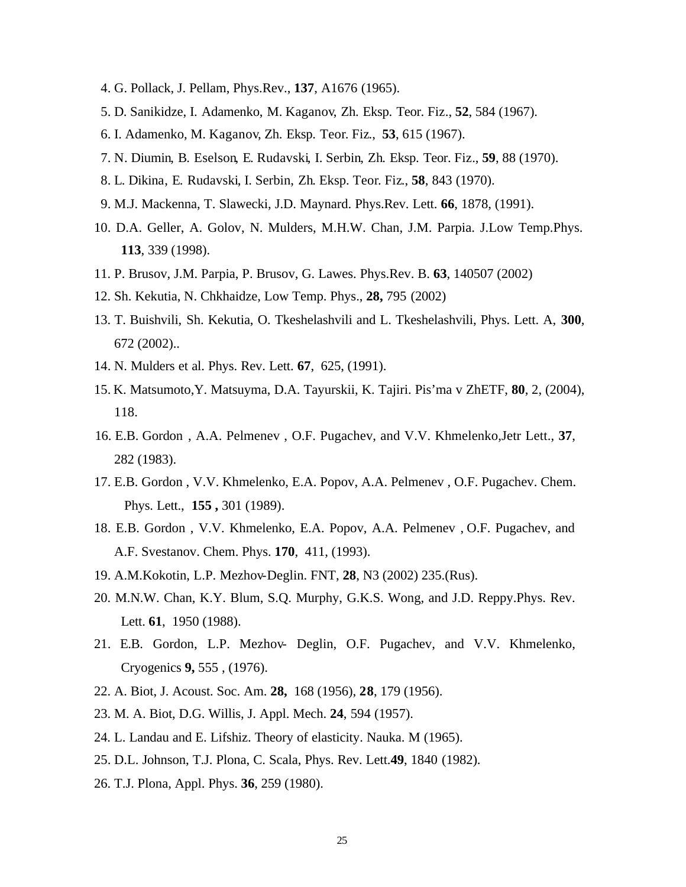- 4. G. Pollack, J. Pellam, Phys.Rev., **137**, A1676 (1965).
- 5. D. Sanikidze, I. Adamenko, M. Kaganov, Zh. Eksp. Teor. Fiz., **52**, 584 (1967).
- 6. I. Adamenko, M. Kaganov, Zh. Eksp. Teor. Fiz., **53**, 615 (1967).
- 7. N. Diumin, B. Eselson, E. Rudavski, I. Serbin, Zh. Eksp. Teor. Fiz., **59**, 88 (1970).
- 8. L. Dikina, E. Rudavski, I. Serbin, Zh. Eksp. Teor. Fiz., **58**, 843 (1970).
- 9. M.J. Mackenna, T. Slawecki, J.D. Maynard. Phys.Rev. Lett. **66**, 1878, (1991).
- 10. D.A. Geller, A. Golov, N. Mulders, M.H.W. Chan, J.M. Parpia. J.Low Temp.Phys. **113**, 339 (1998).
- 11. P. Brusov, J.M. Parpia, P. Brusov, G. Lawes. Phys.Rev. B. **63**, 140507 (2002)
- 12. Sh. Kekutia, N. Chkhaidze, Low Temp. Phys., **28,** 795 (2002)
- 13. T. Buishvili, Sh. Kekutia, O. Tkeshelashvili and L. Tkeshelashvili, Phys. Lett. A, **300**, 672 (2002)..
- 14. N. Mulders et al. Phys. Rev. Lett. **67**, 625, (1991).
- 15. K. Matsumoto,Y. Matsuyma, D.A. Tayurskii, K. Tajiri. Pis'ma v ZhETF, **80**, 2, (2004), 118.
- 16. E.B. Gordon , A.A. Pelmenev , O.F. Pugachev, and V.V. Khmelenko,Jetr Lett., **37**, 282 (1983).
- 17. E.B. Gordon , V.V. Khmelenko, E.A. Popov, A.A. Pelmenev , O.F. Pugachev. Chem. Phys. Lett., **155 ,** 301 (1989).
- 18. E.B. Gordon , V.V. Khmelenko, E.A. Popov, A.A. Pelmenev , O.F. Pugachev, and A.F. Svestanov. Chem. Phys. **170**, 411, (1993).
- 19. A.M.Kokotin, L.P. Mezhov-Deglin. FNT, **28**, N3 (2002) 235.(Rus).
- 20. M.N.W. Chan, K.Y. Blum, S.Q. Murphy, G.K.S. Wong, and J.D. Reppy.Phys. Rev. Lett. **61**, 1950 (1988).
- 21. E.B. Gordon, L.P. Mezhov- Deglin, O.F. Pugachev, and V.V. Khmelenko, Cryogenics **9,** 555 , (1976).
- 22. A. Biot, J. Acoust. Soc. Am. **28,** 168 (1956), **28**, 179 (1956).
- 23. M. A. Biot, D.G. Willis, J. Appl. Mech. **24**, 594 (1957).
- 24. L. Landau and E. Lifshiz. Theory of elasticity. Nauka. M (1965).
- 25. D.L. Johnson, T.J. Plona, C. Scala, Phys. Rev. Lett.**49**, 1840 (1982).
- 26. T.J. Plona, Appl. Phys. **36**, 259 (1980).